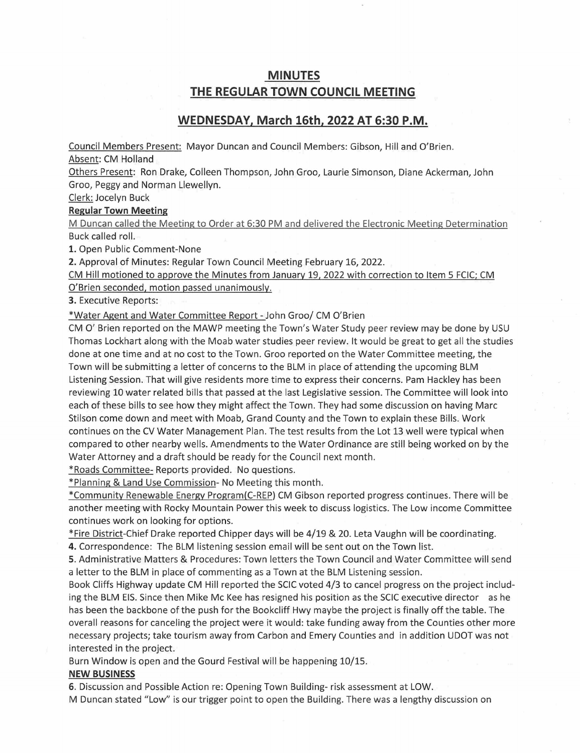#### MINUTES

# THE REGULAR TOWN COUNCIL MEETING

## WEDNESDAY. March 16th. 2022 AT 6:30 P.M.

Council Members Present: Mayor Duncan and Council Members: Gibson, Hill and O'Brien. Absent: CM Holland

Others Present: Ron Drake, Colleen Thompson, John Groo, Laurie Simonson, Diane Ackerman, John Groo, Peggy and Norman Llewellyn.

Clerk: Jocelvn Buck

#### Regular Town Meeting

M Duncan called the Meeting to Order at 6:30 PM and delivered the Electronic Meeting Determination Buck called roll.

1. Open Public Comment-None

2. Approval of Minutes: Regular Town Council Meeting February 16, 2022.

CM Hill motioned to approve the Minutes from January 19. 2022 with correction to Item 5 FCIC: CM O'Brien seconded, motion passed unanimously.

3. Executive Reports:

\*Water Agent and Water Committee Report - John Groo/ CM O'Brien

CM 0' Brien reported on the MAWP meeting the Town's Water Study peer review may be done by USU Thomas Lockhart along with the Moab water studies peer review. It would be great to get all the studies done at one time and at no cost to the Town. Groo reported on the Water Committee meeting, the Town will be submitting a letter of concerns to the BLM in place of attending the upcoming BLM Listening Session. That will give residents more time to express their concerns. Pam Hackley has been reviewing 10 water related bills that passed at the last Legislative session. The Committee will look into each of these bills to see how they might affect the Town. They had some discussion on having Marc Stilson come down and meet with Moab, Grand County and the Town to explain these Bills. Work continues on the CV Water Management Plan. The test results from the Lot 13 well were typical when compared to other nearby wells. Amendments to the Water Ordinance are still being worked on by the Water Attorney and a draft should be ready for the Council next month.

\*Roads Committee- Reports provided. No questions.

\*Planning & Land Use Commission- No Meeting this month.

\*Communitv Renewable Energy Program(C-REP) CM Gibson reported progress continues. There will be another meeting with Rocky Mountain Power this week to discuss logistics. The Low income Committee continues work on looking for options.

\*Fire District-Chief Drake reported Chipper days will be 4/19 & 20. Leta Vaughn will be coordinating. 4. Correspondence: The BLM listening session email will be sent out on the Town list.

5. Administrative Matters & Procedures: Town letters the Town Council and Water Committee will send a letter to the BLM in place of commenting as a Town at the BLM Listening session.

Book Cliffs Highway update CM Hill reported the SCIC voted 4/3 to cancel progress on the project includ ing the BLM EIS. Since then Mike Mc Kee has resigned his position as the SCIC executive director as he has been the backbone of the push for the Bookcliff Hwy maybe the project is finally off the table. The overall reasons for canceling the project were it would: take funding away from the Counties other more necessary projects; take tourism away from Carbon and Emery Counties and in addition UDOT was not interested in the project.

Burn Window is open and the Gourd Festival will be happening 10/15.

#### NEW BUSINESS

6. Discussion and Possible Action re: Opening Town Building- risk assessment at LOW.

M Duncan stated "Low" is our trigger point to open the Building. There was a lengthy discussion on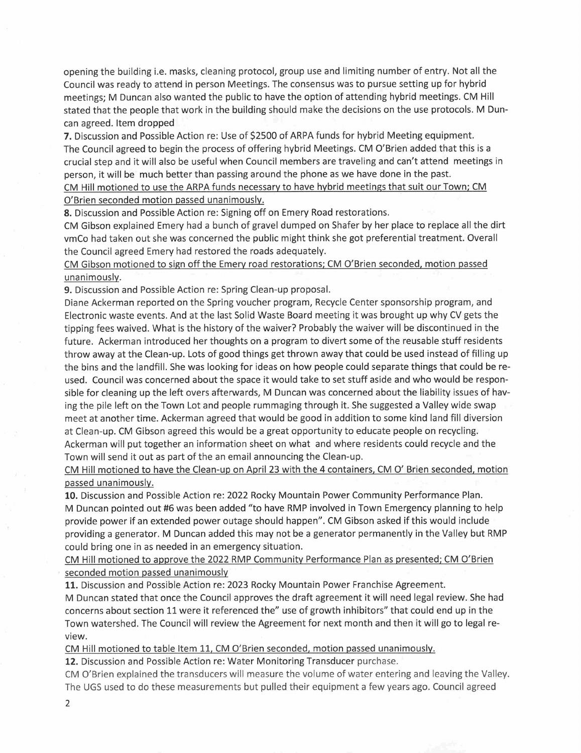opening the building i.e. masks, cleaning protocol, group use and limiting number of entry. Not all the Council was ready to attend in person Meetings. The consensus was to pursue setting up for hybrid meetings; M Duncan also wanted the public to have the option of attending hybrid meetings. CM Hill stated that the people that work in the building should make the decisions on the use protocols. M Duncan agreed. Item dropped

7. Discussion and Possible Action re: Use of \$2500 of ARPA funds for hybrid Meeting equipment. The Council agreed to begin the process of offering hybrid Meetings. CM O'Brien added that this is a crucial step and it will also be useful when Council members are traveling and can't attend meetings in person, it will be much better than passing around the phone as we have done in the past.

CM Hill motioned to use the ARPA funds necessary to have hybrid meetings that suit our Town; CM O'Brien seconded motion passed unanimously.

8. Discussion and Possible Action re: Signing off on Emery Road restorations.

CM Gibson explained Emery had a bunch of gravel dumped on Shafer by her place to replace all the dirt ymCo had taken out she was concerned the public might think she got preferential treatment. Overall the Council agreed Emery had restored the roads adequately.

CM Gibson motioned to sign off the Emery road restorations; CM O'Brien seconded, motion passed unanimously.

9. Discussion and Possible Action re: Spring Clean-up proposal.

Diane Ackerman reported on the Spring voucher program, Recycle Center sponsorship program, and Electronic waste events. And at the last Solid Waste Board meeting it was brought up why CV gets the tipping fees waived. What is the history of the waiver? Probably the waiver will be discontinued in the future. Ackerman introduced her thoughts on a program to divert some of the reusable stuff residents throw away at the Clean-up. Lots of good things get thrown away that could be used instead of filling up the bins and the landfill. She was looking for ideas on how people could separate things that could be reused. Council was concerned about the space it would take to set stuff aside and who would be responsible for cleaning up the left overs afterwards, M Duncan was concerned about the liability issues of having the pile left on the Town Lot and people rummaging through it. She suggested a Valley wide swap meet at another time. Ackerman agreed that would be good in addition to some kind land fill diversion at Clean-up. CM Gibson agreed this would be a great opportunity to educate people on recycling. Ackerman will put together an information sheet on what and where residents could recycle and the Town will send it out as part of the an email announcing the Clean-up.

CM Hill motioned to have the Clean-up on April 23 with the 4 containers, CM O' Brien seconded, motion passed unanimously.

10. Discussion and Possible Action re: 2022 Rocky Mountain Power Community Performance Plan. M Duncan pointed out #6 was been added "to have RMP involved in Town Emergency planning to help provide power if an extended power outage should happen". CM Gibson asked if this would include providing a generator. M Duncan added this may not be a generator permanently in the Valley but RMP could bring one in as needed in an emergency situation.

CM Hill motioned to approve the 2022 RMP Community Performance Plan as presented; CM O'Brien seconded motion passed unanimously

11. Discussion and Possible Action re: 2023 Rocky Mountain Power Franchise Agreement. M Duncan stated that once the Council approves the draft agreement it will need legal review. She had concerns about section 11 were it referenced the" use of growth inhibitors" that could end up in the Town watershed. The Council will review the Agreement for next month and then it will go to legal review.

CM Hill motioned to table Item 11, CM O'Brien seconded, motion passed unanimously.

12. Discussion and Possible Action re: Water Monitoring Transducer purchase.

CM O'Brien explained the transducers will measure the volume of water entering and leaving the Valley. The UGS used to do these measurements but pulled their equipment a few years ago. Council agreed